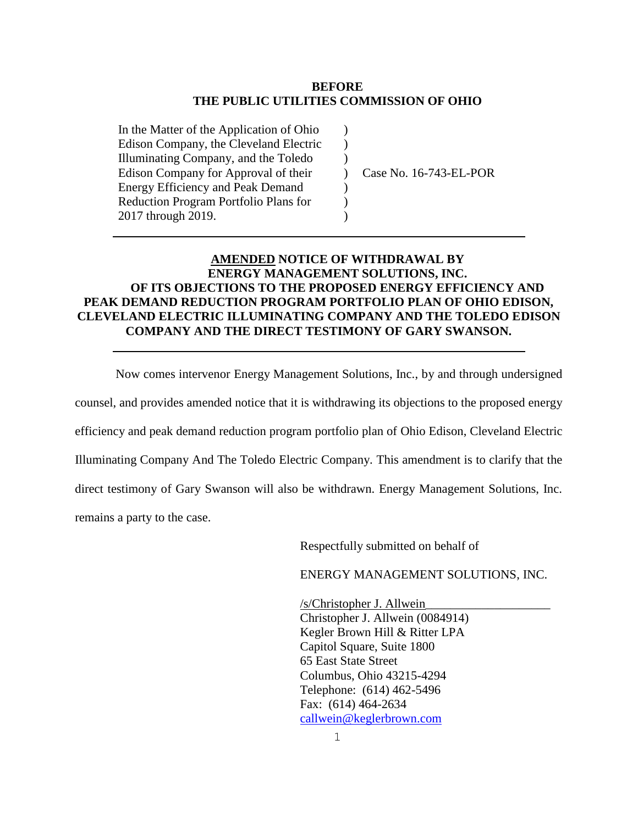### **BEFORE THE PUBLIC UTILITIES COMMISSION OF OHIO**

 $\mathcal{L}$  $\lambda$  $\lambda$  $\lambda$  $\mathcal{L}$  $\mathcal{L}$  $\lambda$ 

In the Matter of the Application of Ohio Edison Company, the Cleveland Electric Illuminating Company, and the Toledo Edison Company for Approval of their Energy Efficiency and Peak Demand Reduction Program Portfolio Plans for 2017 through 2019.

Case No. 16-743-EL-POR

## **AMENDED NOTICE OF WITHDRAWAL BY ENERGY MANAGEMENT SOLUTIONS, INC. OF ITS OBJECTIONS TO THE PROPOSED ENERGY EFFICIENCY AND PEAK DEMAND REDUCTION PROGRAM PORTFOLIO PLAN OF OHIO EDISON, CLEVELAND ELECTRIC ILLUMINATING COMPANY AND THE TOLEDO EDISON COMPANY AND THE DIRECT TESTIMONY OF GARY SWANSON.**

Now comes intervenor Energy Management Solutions, Inc., by and through undersigned

counsel, and provides amended notice that it is withdrawing its objections to the proposed energy

efficiency and peak demand reduction program portfolio plan of Ohio Edison, Cleveland Electric

Illuminating Company And The Toledo Electric Company. This amendment is to clarify that the

direct testimony of Gary Swanson will also be withdrawn. Energy Management Solutions, Inc.

remains a party to the case.

Respectfully submitted on behalf of

ENERGY MANAGEMENT SOLUTIONS, INC.

/s/Christopher J. Allwein\_\_\_\_\_\_\_\_\_\_\_\_\_\_\_\_\_\_\_\_ Christopher J. Allwein (0084914) Kegler Brown Hill & Ritter LPA Capitol Square, Suite 1800 65 East State Street Columbus, Ohio 43215-4294 Telephone: (614) 462-5496 Fax: (614) 464-2634 [callwein@keglerbrown.com](mailto:callwein@keglerbrown.com)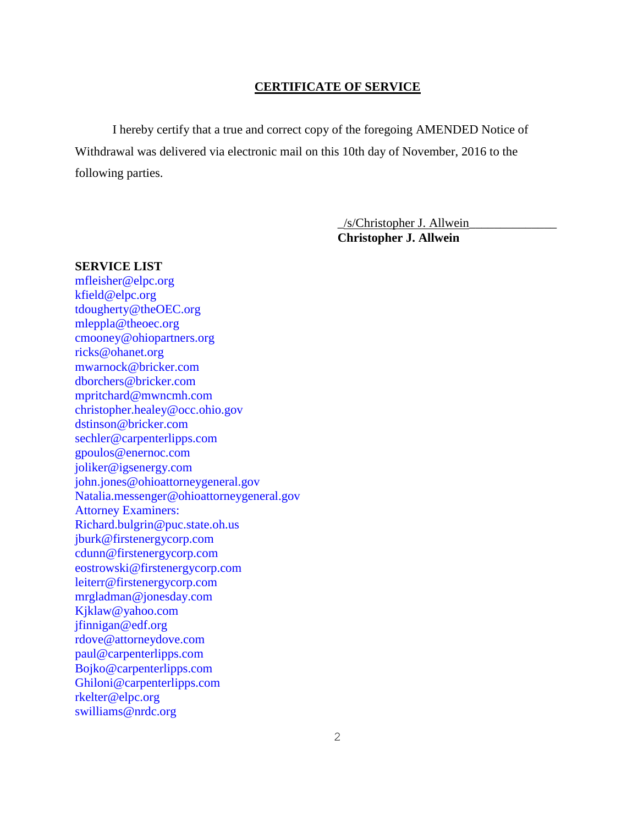### **CERTIFICATE OF SERVICE**

I hereby certify that a true and correct copy of the foregoing AMENDED Notice of Withdrawal was delivered via electronic mail on this 10th day of November, 2016 to the following parties.

> \_/s/Christopher J. Allwein\_\_\_\_\_\_\_\_\_\_\_\_\_\_ **Christopher J. Allwein**

#### **SERVICE LIST**

mfleisher@elpc.org kfield@elpc.org tdougherty@theOEC.org mleppla@theoec.org cmooney@ohiopartners.org ricks@ohanet.org mwarnock@bricker.com dborchers@bricker.com mpritchard@mwncmh.com [christopher.healey@occ.ohio.gov](mailto:christopher.healey@occ.ohio.gov) dstinson@bricker.com sechler@carpenterlipps.com gpoulos@enernoc.com joliker@igsenergy.com john.jones@ohioattorneygeneral.gov Natalia.messenger@ohioattorneygeneral.gov Attorney Examiners: Richard.bulgrin@puc.state.oh.us jburk@firstenergycorp.com cdunn@firstenergycorp.com eostrowski@firstenergycorp.com leiterr@firstenergycorp.com mrgladman@jonesday.com Kjklaw@yahoo.com jfinnigan@edf.org rdove@attorneydove.com paul@carpenterlipps.com Bojko@carpenterlipps.com Ghiloni@carpenterlipps.com rkelter@elpc.org swilliams@nrdc.org